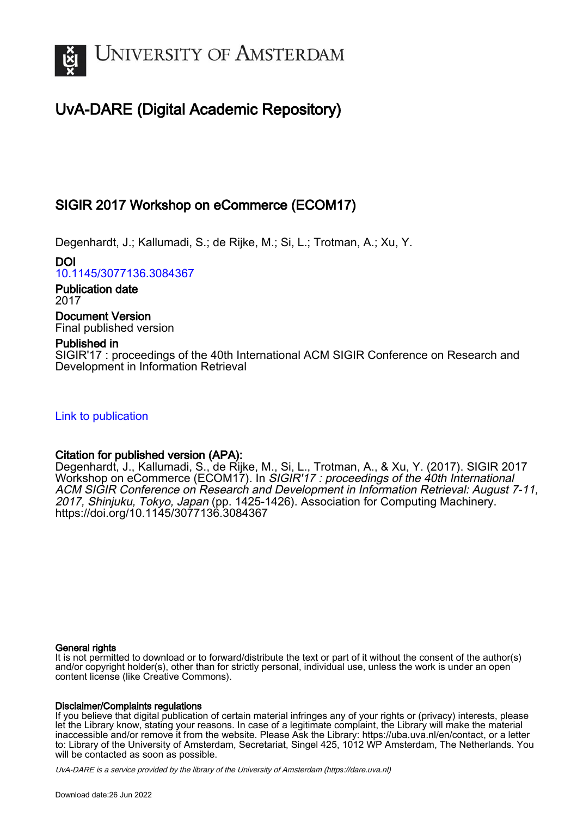

# UvA-DARE (Digital Academic Repository)

## SIGIR 2017 Workshop on eCommerce (ECOM17)

Degenhardt, J.; Kallumadi, S.; de Rijke, M.; Si, L.; Trotman, A.; Xu, Y.

DOI [10.1145/3077136.3084367](https://doi.org/10.1145/3077136.3084367)

Publication date 2017

## Document Version

Final published version

### Published in

SIGIR'17 : proceedings of the 40th International ACM SIGIR Conference on Research and Development in Information Retrieval

[Link to publication](https://dare.uva.nl/personal/pure/en/publications/sigir-2017-workshop-on-ecommerce-ecom17(7a7f21fe-f3d4-4722-8f72-6dfbaa3156dd).html)

### Citation for published version (APA):

Degenhardt, J., Kallumadi, S., de Rijke, M., Si, L., Trotman, A., & Xu, Y. (2017). SIGIR 2017 Workshop on eCommerce (ECOM17). In SIGIR'17 : proceedings of the 40th International ACM SIGIR Conference on Research and Development in Information Retrieval: August 7-11, 2017, Shinjuku, Tokyo, Japan (pp. 1425-1426). Association for Computing Machinery. <https://doi.org/10.1145/3077136.3084367>

#### General rights

It is not permitted to download or to forward/distribute the text or part of it without the consent of the author(s) and/or copyright holder(s), other than for strictly personal, individual use, unless the work is under an open content license (like Creative Commons).

#### Disclaimer/Complaints regulations

If you believe that digital publication of certain material infringes any of your rights or (privacy) interests, please let the Library know, stating your reasons. In case of a legitimate complaint, the Library will make the material inaccessible and/or remove it from the website. Please Ask the Library: https://uba.uva.nl/en/contact, or a letter to: Library of the University of Amsterdam, Secretariat, Singel 425, 1012 WP Amsterdam, The Netherlands. You will be contacted as soon as possible.

UvA-DARE is a service provided by the library of the University of Amsterdam (http*s*://dare.uva.nl)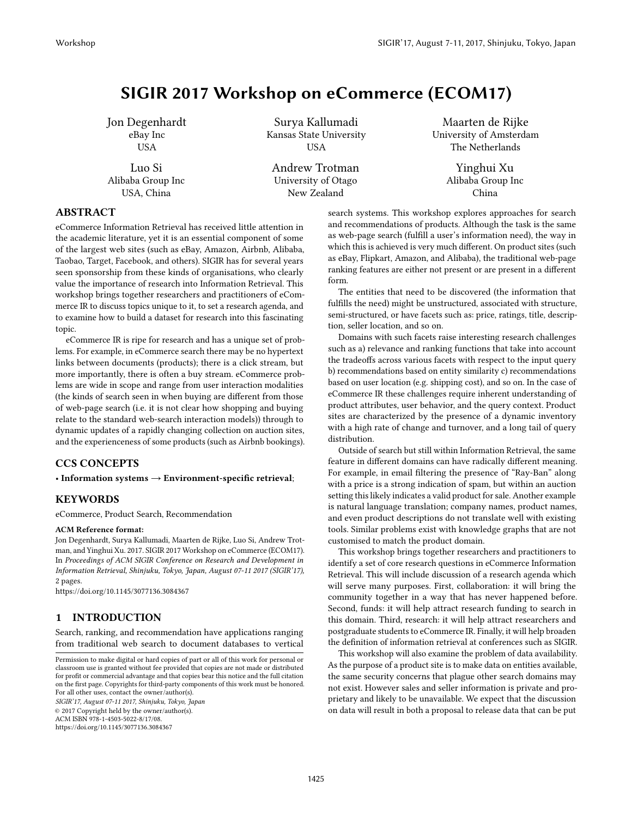## SIGIR 2017 Workshop on eCommerce (ECOM17)

Jon Degenhardt eBay Inc USA

Luo Si Alibaba Group Inc USA, China

Surya Kallumadi Kansas State University USA

Andrew Trotman University of Otago New Zealand

Maarten de Rijke University of Amsterdam The Netherlands

> Yinghui Xu Alibaba Group Inc China

#### ABSTRACT

eCommerce Information Retrieval has received little attention in the academic literature, yet it is an essential component of some of the largest web sites (such as eBay, Amazon, Airbnb, Alibaba, Taobao, Target, Facebook, and others). SIGIR has for several years seen sponsorship from these kinds of organisations, who clearly value the importance of research into Information Retrieval. This workshop brings together researchers and practitioners of eCommerce IR to discuss topics unique to it, to set a research agenda, and to examine how to build a dataset for research into this fascinating topic.

eCommerce IR is ripe for research and has a unique set of problems. For example, in eCommerce search there may be no hypertext links between documents (products); there is a click stream, but more importantly, there is often a buy stream. eCommerce problems are wide in scope and range from user interaction modalities (the kinds of search seen in when buying are different from those of web-page search (i.e. it is not clear how shopping and buying relate to the standard web-search interaction models)) through to dynamic updates of a rapidly changing collection on auction sites, and the experienceness of some products (such as Airbnb bookings).

#### CCS CONCEPTS

• Information systems → Environment-specific retrieval;

#### **KEYWORDS**

eCommerce, Product Search, Recommendation

#### ACM Reference format:

Jon Degenhardt, Surya Kallumadi, Maarten de Rijke, Luo Si, Andrew Trotman, and Yinghui Xu. 2017. SIGIR 2017 Workshop on eCommerce (ECOM17). In Proceedings of ACM SIGIR Conference on Research and Development in Information Retrieval, Shinjuku, Tokyo, Japan, August 07-11 2017 (SIGIR'17), [2](#page-2-0) pages.

<https://doi.org/10.1145/3077136.3084367>

#### 1 INTRODUCTION

Search, ranking, and recommendation have applications ranging from traditional web search to document databases to vertical

SIGIR'17, August 07-11 2017, Shinjuku, Tokyo, Japan

© 2017 Copyright held by the owner/author(s).

ACM ISBN 978-1-4503-5022-8/17/08.

<https://doi.org/10.1145/3077136.3084367>

search systems. This workshop explores approaches for search and recommendations of products. Although the task is the same as web-page search (fulfill a user's information need), the way in which this is achieved is very much different. On product sites (such as eBay, Flipkart, Amazon, and Alibaba), the traditional web-page ranking features are either not present or are present in a different form.

The entities that need to be discovered (the information that fulfills the need) might be unstructured, associated with structure, semi-structured, or have facets such as: price, ratings, title, description, seller location, and so on.

Domains with such facets raise interesting research challenges such as a) relevance and ranking functions that take into account the tradeoffs across various facets with respect to the input query b) recommendations based on entity similarity c) recommendations based on user location (e.g. shipping cost), and so on. In the case of eCommerce IR these challenges require inherent understanding of product attributes, user behavior, and the query context. Product sites are characterized by the presence of a dynamic inventory with a high rate of change and turnover, and a long tail of query distribution.

Outside of search but still within Information Retrieval, the same feature in different domains can have radically different meaning. For example, in email filtering the presence of "Ray-Ban" along with a price is a strong indication of spam, but within an auction setting this likely indicates a valid product for sale. Another example is natural language translation; company names, product names, and even product descriptions do not translate well with existing tools. Similar problems exist with knowledge graphs that are not customised to match the product domain.

This workshop brings together researchers and practitioners to identify a set of core research questions in eCommerce Information Retrieval. This will include discussion of a research agenda which will serve many purposes. First, collaboration: it will bring the community together in a way that has never happened before. Second, funds: it will help attract research funding to search in this domain. Third, research: it will help attract researchers and postgraduate students to eCommerce IR. Finally, it will help broaden the definition of information retrieval at conferences such as SIGIR.

This workshop will also examine the problem of data availability. As the purpose of a product site is to make data on entities available, the same security concerns that plague other search domains may not exist. However sales and seller information is private and proprietary and likely to be unavailable. We expect that the discussion on data will result in both a proposal to release data that can be put

Permission to make digital or hard copies of part or all of this work for personal or classroom use is granted without fee provided that copies are not made or distributed for profit or commercial advantage and that copies bear this notice and the full citation on the first page. Copyrights for third-party components of this work must be honored. For all other uses, contact the owner/author(s).